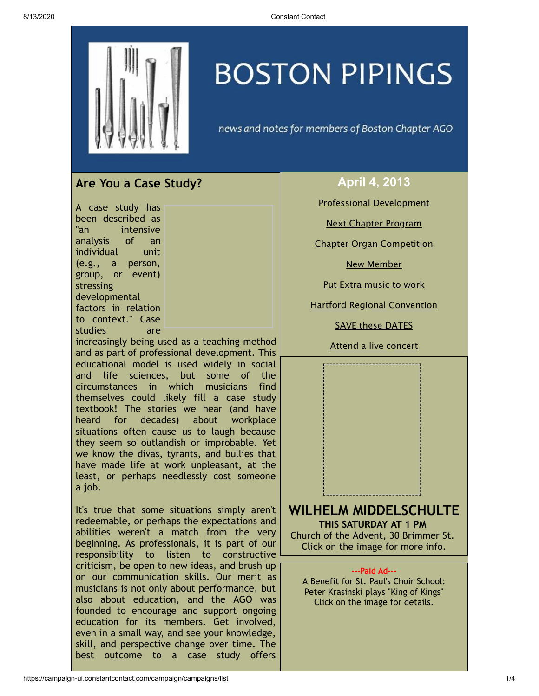

# **BOSTON PIPINGS**

news and notes for members of Boston Chapter AGO

# <span id="page-0-0"></span>**Are You a Case Study?**

A case study has been described as "an intensive analysis of an individual unit (e.g., a person, group, or event) stressing developmental factors in relation to context." Case studies are

increasingly being used as a teaching method and as part of professional development. This educational model is used widely in social and life sciences, but some of the circumstances in which musicians find themselves could likely fill a case study textbook! The stories we hear (and have heard for decades) about workplace situations often cause us to laugh because they seem so outlandish or improbable. Yet we know the divas, tyrants, and bullies that have made life at work unpleasant, at the least, or perhaps needlessly cost someone a job.

It's true that some situations simply aren't redeemable, or perhaps the expectations and abilities weren't a match from the very beginning. As professionals, it is part of our responsibility to listen to constructive criticism, be open to new ideas, and brush up on our communication skills. Our merit as musicians is not only about performance, but also about education, and the AGO was founded to encourage and support ongoing education for its members. Get involved, even in a small way, and see your knowledge, skill, and perspective change over time. The best outcome to a case study offers

### **April 4, 2013**

Professional [Development](#page-0-0)

Next Chapter [Program](#page-0-1)

Chapter Organ [Competition](#page-1-0)

New [Member](#page-2-0)

Put Extra [music](#page-2-1) to work

Hartford Regional [Convention](#page-2-2)

**SAVE these [DATES](#page-2-3)** 

<span id="page-0-1"></span>Attend a live [concert](#page-3-0)

## **WILHELM MIDDELSCHULTE THIS SATURDAY AT 1 PM** Church of the Advent, 30 Brimmer St. Click on the image for more info.

#### **---Paid Ad---**

A Benefit for St. Paul's Choir School: Peter Krasinski plays "King of Kings" Click on the image for details.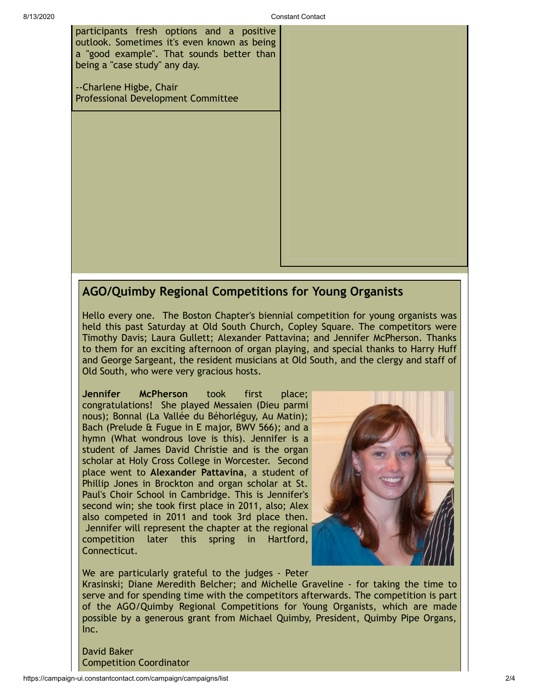participants fresh options and a positive outlook. Sometimes it's even known as being a "good example". That sounds better than being a "case study" any day.

--Charlene Higbe, Chair Professional Development Committee

## <span id="page-1-0"></span>**AGO/Quimby Regional Competitions for Young Organists**

Hello every one. The Boston Chapter's biennial competition for young organists was held this past Saturday at Old South Church, Copley Square. The competitors were Timothy Davis; Laura Gullett; Alexander Pattavina; and Jennifer McPherson. Thanks to them for an exciting afternoon of organ playing, and special thanks to Harry Huff and George Sargeant, the resident musicians at Old South, and the clergy and staff of Old South, who were very gracious hosts.

**Jennifer McPherson** took first place; congratulations! She played Messaien (Dieu parmi nous); Bonnal (La Vallée du Béhorléguy, Au Matin); Bach (Prelude & Fugue in E major, BWV 566); and a hymn (What wondrous love is this). Jennifer is a student of James David Christie and is the organ scholar at Holy Cross College in Worcester. Second place went to **Alexander Pattavina**, a student of Phillip Jones in Brockton and organ scholar at St. Paul's Choir School in Cambridge. This is Jennifer's second win; she took first place in 2011, also; Alex also competed in 2011 and took 3rd place then. Jennifer will represent the chapter at the regional competition later this spring in Hartford, Connecticut.



We are particularly grateful to the judges - Peter Krasinski; Diane Meredith Belcher; and Michelle Graveline - for taking the time to serve and for spending time with the competitors afterwards. The competition is part of the AGO/Quimby Regional Competitions for Young Organists, which are made possible by a generous grant from Michael Quimby, President, Quimby Pipe Organs, Inc.

David Baker Competition Coordinator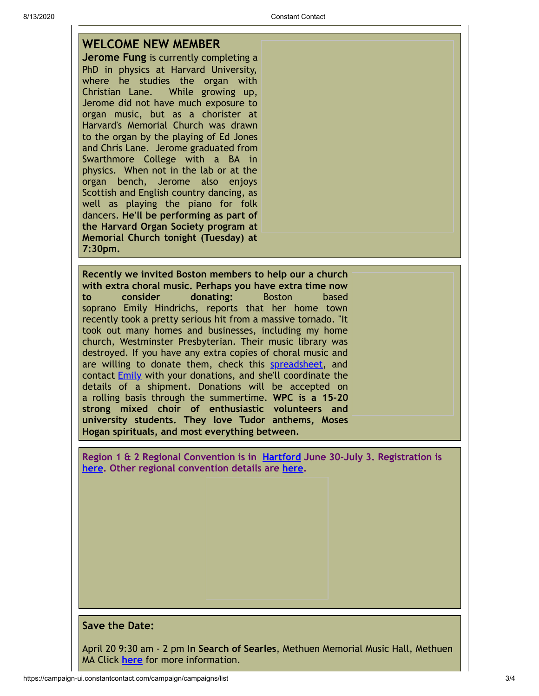<span id="page-2-0"></span>

|  |  |  | <b>WELCOME NEW MEMBER</b> |  |
|--|--|--|---------------------------|--|
|--|--|--|---------------------------|--|

**Jerome Fung** is currently completing a PhD in physics at Harvard University, where he studies the organ with Christian Lane. While growing up, Jerome did not have much exposure to organ music, but as a chorister at Harvard's Memorial Church was drawn to the organ by the playing of Ed Jones and Chris Lane. Jerome graduated from Swarthmore College with a BA in physics. When not in the lab or at the organ bench, Jerome also enjoys Scottish and English country dancing, as well as playing the piano for folk dancers. **He'll be performing as part of the Harvard Organ Society program at Memorial Church tonight (Tuesday) at 7:30pm.**

<span id="page-2-1"></span>**Recently we invited Boston members to help our a church with extra choral music. Perhaps you have extra time now to consider donating:** Boston based soprano Emily Hindrichs, reports that her home town recently took a pretty serious hit from a massive tornado. "It took out many homes and businesses, including my home church, Westminster Presbyterian. Their music library was destroyed. If you have any extra copies of choral music and are willing to donate them, check this [spreadsheet](https://docs.google.com/spreadsheet/ccc?key=0AtIcaSIBlMR1dE85N3JjNngwa01xQnUtRzc0ak1HT3c#gid=0), and contact [Emily](mailto:emily.hindrichs@gmail.com) with your donations, and she'll coordinate the details of a shipment. Donations will be accepted on a rolling basis through the summertime. **WPC is a 15-20 strong mixed choir of enthusiastic volunteers and university students. They love Tudor anthems, Moses Hogan spirituals, and most everything between.**

<span id="page-2-2"></span>**Region 1 & 2 Regional Convention is in [Hartford](http://hartfordago2013.org/) June 30-July 3. Registration is [here.](http://www.regonline.com/Register/Checkin.aspx?EventID=1107693) Other regional convention details are [here.](http://www.agohq.org/organize/regconven.html)**

#### <span id="page-2-3"></span>**Save the Date:**

April 20 9:30 am - 2 pm **In Search of Searles**, Methuen Memorial Music Hall, Methuen MA Click **[here](http://mmmh.org/web_documents/in_search_of_searles.pdf)** for more information.